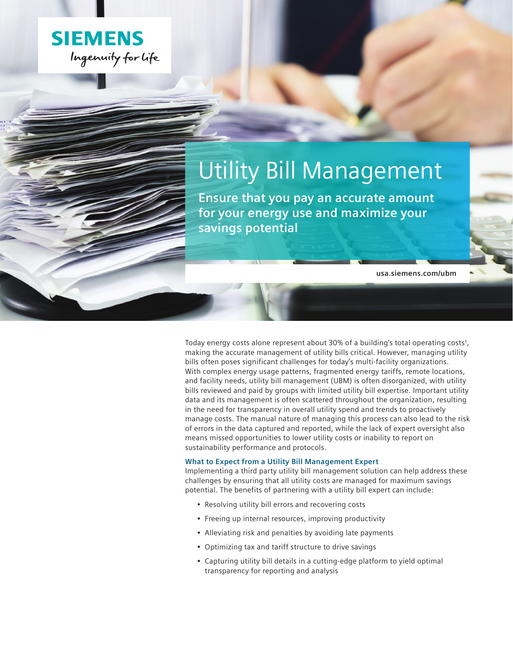

# Utility Bill Management

**Ensure that you pay an accurate amount for your energy use and maximize your savings potential**

**usa.siemens.com/ubm**

Today energy costs alone represent about 30% of a building's total operating costs<sup>1</sup>, making the accurate management of utility bills critical. However, managing utility bills often poses significant challenges for today's multi-facility organizations. With complex energy usage patterns, fragmented energy tariffs, remote locations, and facility needs, utility bill management (UBM) is often disorganized, with utility bills reviewed and paid by groups with limited utility bill expertise. Important utility data and its management is often scattered throughout the organization, resulting in the need for transparency in overall utility spend and trends to proactively manage costs. The manual nature of managing this process can also lead to the risk of errors in the data captured and reported, while the lack of expert oversight also means missed opportunities to lower utility costs or inability to report on sustainability performance and protocols.

#### **What to Expect from a Utility Bill Management Expert**

Implementing a third party utility bill management solution can help address these challenges by ensuring that all utility costs are managed for maximum savings potential. The benefits of partnering with a utility bill expert can include:

- Resolving utility bill errors and recovering costs
- Freeing up internal resources, improving productivity
- Alleviating risk and penalties by avoiding late payments
- Optimizing tax and tariff structure to drive savings
- Capturing utility bill details in a cutting-edge platform to yield optimal transparency for reporting and analysis